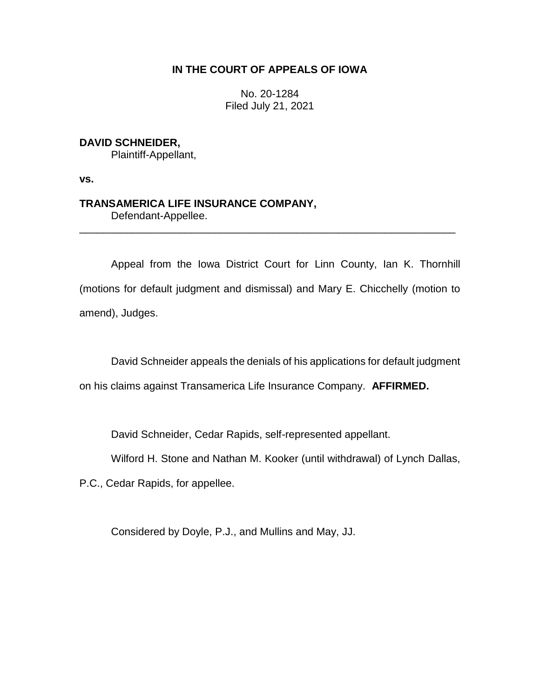### **IN THE COURT OF APPEALS OF IOWA**

No. 20-1284 Filed July 21, 2021

## **DAVID SCHNEIDER,**

Plaintiff-Appellant,

**vs.**

# **TRANSAMERICA LIFE INSURANCE COMPANY,**

Defendant-Appellee.

Appeal from the Iowa District Court for Linn County, Ian K. Thornhill (motions for default judgment and dismissal) and Mary E. Chicchelly (motion to amend), Judges.

\_\_\_\_\_\_\_\_\_\_\_\_\_\_\_\_\_\_\_\_\_\_\_\_\_\_\_\_\_\_\_\_\_\_\_\_\_\_\_\_\_\_\_\_\_\_\_\_\_\_\_\_\_\_\_\_\_\_\_\_\_\_\_\_

David Schneider appeals the denials of his applications for default judgment

on his claims against Transamerica Life Insurance Company. **AFFIRMED.**

David Schneider, Cedar Rapids, self-represented appellant.

Wilford H. Stone and Nathan M. Kooker (until withdrawal) of Lynch Dallas,

P.C., Cedar Rapids, for appellee.

Considered by Doyle, P.J., and Mullins and May, JJ.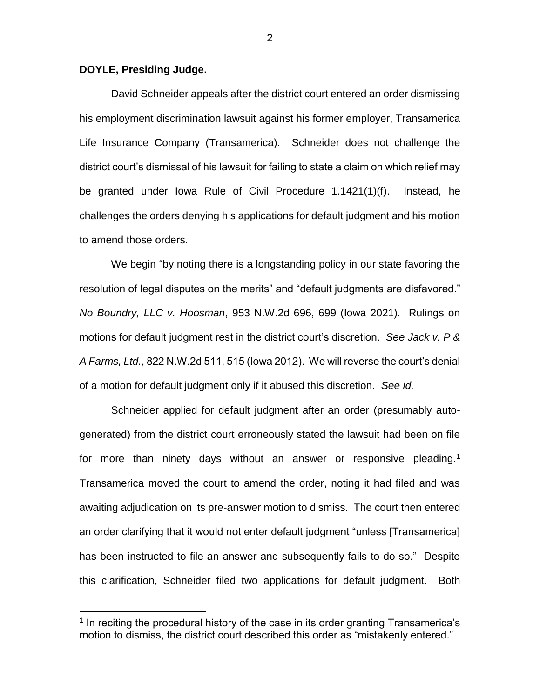#### **DOYLE, Presiding Judge.**

 $\overline{a}$ 

David Schneider appeals after the district court entered an order dismissing his employment discrimination lawsuit against his former employer, Transamerica Life Insurance Company (Transamerica). Schneider does not challenge the district court's dismissal of his lawsuit for failing to state a claim on which relief may be granted under Iowa Rule of Civil Procedure 1.1421(1)(f). Instead, he challenges the orders denying his applications for default judgment and his motion to amend those orders.

We begin "by noting there is a longstanding policy in our state favoring the resolution of legal disputes on the merits" and "default judgments are disfavored." *No Boundry, LLC v. Hoosman*, 953 N.W.2d 696, 699 (Iowa 2021). Rulings on motions for default judgment rest in the district court's discretion. *See Jack v. P & A Farms, Ltd.*, 822 N.W.2d 511, 515 (Iowa 2012). We will reverse the court's denial of a motion for default judgment only if it abused this discretion. *See id.*

Schneider applied for default judgment after an order (presumably autogenerated) from the district court erroneously stated the lawsuit had been on file for more than ninety days without an answer or responsive pleading.<sup>1</sup> Transamerica moved the court to amend the order, noting it had filed and was awaiting adjudication on its pre-answer motion to dismiss. The court then entered an order clarifying that it would not enter default judgment "unless [Transamerica] has been instructed to file an answer and subsequently fails to do so." Despite this clarification, Schneider filed two applications for default judgment. Both

<sup>&</sup>lt;sup>1</sup> In reciting the procedural history of the case in its order granting Transamerica's motion to dismiss, the district court described this order as "mistakenly entered."